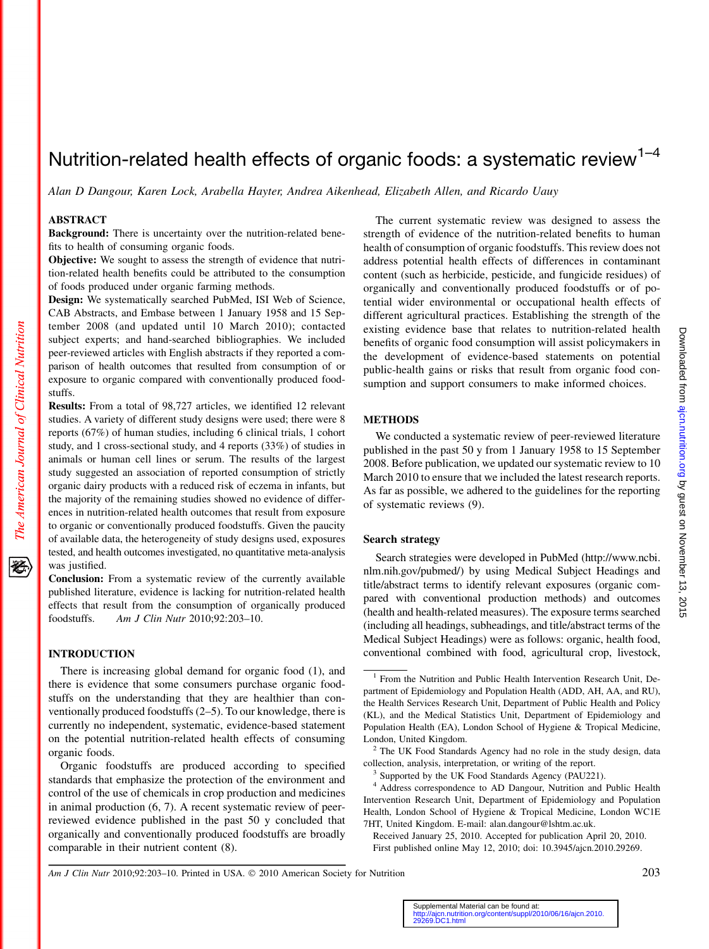# Nutrition-related health effects of organic foods: a systematic review<sup>1-4</sup>

Alan D Dangour, Karen Lock, Arabella Hayter, Andrea Aikenhead, Elizabeth Allen, and Ricardo Uauy

# ABSTRACT

Background: There is uncertainty over the nutrition-related benefits to health of consuming organic foods.

Objective: We sought to assess the strength of evidence that nutrition-related health benefits could be attributed to the consumption of foods produced under organic farming methods.

Design: We systematically searched PubMed, ISI Web of Science, CAB Abstracts, and Embase between 1 January 1958 and 15 September 2008 (and updated until 10 March 2010); contacted subject experts; and hand-searched bibliographies. We included peer-reviewed articles with English abstracts if they reported a comparison of health outcomes that resulted from consumption of or exposure to organic compared with conventionally produced foodstuffs.

Results: From a total of 98,727 articles, we identified 12 relevant studies. A variety of different study designs were used; there were 8 reports (67%) of human studies, including 6 clinical trials, 1 cohort study, and 1 cross-sectional study, and 4 reports (33%) of studies in animals or human cell lines or serum. The results of the largest study suggested an association of reported consumption of strictly organic dairy products with a reduced risk of eczema in infants, but the majority of the remaining studies showed no evidence of differences in nutrition-related health outcomes that result from exposure to organic or conventionally produced foodstuffs. Given the paucity of available data, the heterogeneity of study designs used, exposures tested, and health outcomes investigated, no quantitative meta-analysis was justified.

Conclusion: From a systematic review of the currently available published literature, evidence is lacking for nutrition-related health effects that result from the consumption of organically produced foodstuffs. Am J Clin Nutr 2010;92:203–10.

#### INTRODUCTION

There is increasing global demand for organic food (1), and there is evidence that some consumers purchase organic foodstuffs on the understanding that they are healthier than conventionally produced foodstuffs (2–5). To our knowledge, there is currently no independent, systematic, evidence-based statement on the potential nutrition-related health effects of consuming organic foods.

Organic foodstuffs are produced according to specified standards that emphasize the protection of the environment and control of the use of chemicals in crop production and medicines in animal production (6, 7). A recent systematic review of peerreviewed evidence published in the past 50 y concluded that organically and conventionally produced foodstuffs are broadly comparable in their nutrient content (8).

The current systematic review was designed to assess the strength of evidence of the nutrition-related benefits to human health of consumption of organic foodstuffs. This review does not address potential health effects of differences in contaminant content (such as herbicide, pesticide, and fungicide residues) of organically and conventionally produced foodstuffs or of potential wider environmental or occupational health effects of different agricultural practices. Establishing the strength of the existing evidence base that relates to nutrition-related health benefits of organic food consumption will assist policymakers in the development of evidence-based statements on potential public-health gains or risks that result from organic food consumption and support consumers to make informed choices.

# METHODS

We conducted a systematic review of peer-reviewed literature published in the past 50 y from 1 January 1958 to 15 September 2008. Before publication, we updated our systematic review to 10 March 2010 to ensure that we included the latest research reports. As far as possible, we adhered to the guidelines for the reporting of systematic reviews (9).

# Search strategy

Search strategies were developed in PubMed (http://www.ncbi. nlm.nih.gov/pubmed/) by using Medical Subject Headings and title/abstract terms to identify relevant exposures (organic compared with conventional production methods) and outcomes (health and health-related measures). The exposure terms searched (including all headings, subheadings, and title/abstract terms of the Medical Subject Headings) were as follows: organic, health food, conventional combined with food, agricultural crop, livestock,

Am J Clin Nutr 2010;92:203–10. Printed in USA.  $\odot$  2010 American Society for Nutrition 2003

<sup>&</sup>lt;sup>1</sup> From the Nutrition and Public Health Intervention Research Unit, Department of Epidemiology and Population Health (ADD, AH, AA, and RU), the Health Services Research Unit, Department of Public Health and Policy (KL), and the Medical Statistics Unit, Department of Epidemiology and Population Health (EA), London School of Hygiene & Tropical Medicine, London, United Kingdom.

 $2$  The UK Food Standards Agency had no role in the study design, data collection, analysis, interpretation, or writing of the report. <sup>3</sup> Supported by the UK Food Standards Agency (PAU221).

<sup>&</sup>lt;sup>4</sup> Address correspondence to AD Dangour, Nutrition and Public Health Intervention Research Unit, Department of Epidemiology and Population Health, London School of Hygiene & Tropical Medicine, London WC1E 7HT, United Kingdom. E-mail: alan.dangour@lshtm.ac.uk.

Received January 25, 2010. Accepted for publication April 20, 2010. First published online May 12, 2010; doi: 10.3945/ajcn.2010.29269.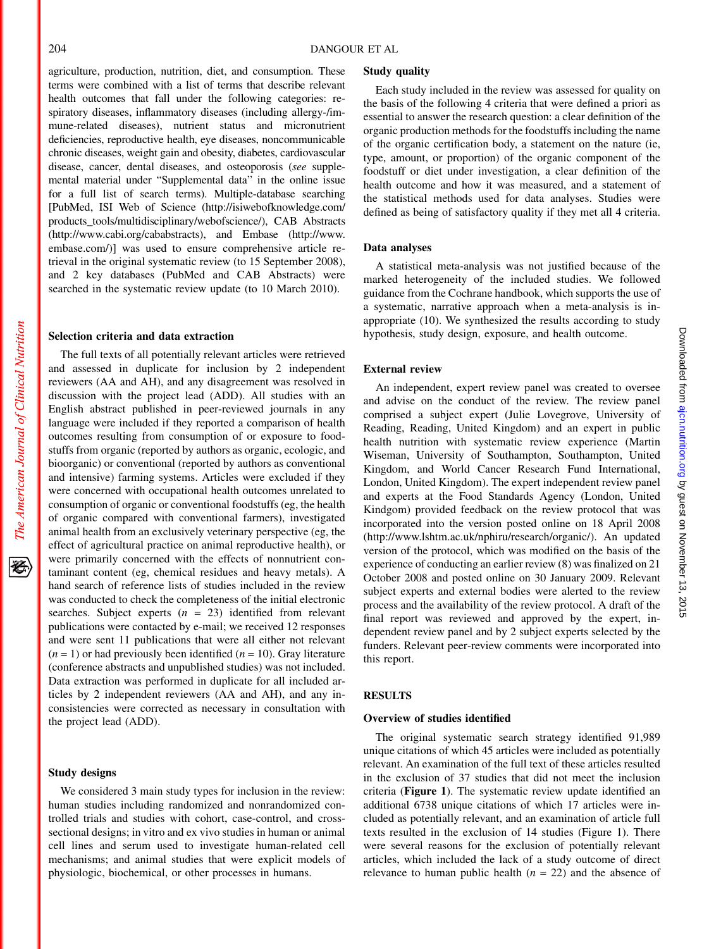The American Journal of Clinical Nutrition

蝥

agriculture, production, nutrition, diet, and consumption. These terms were combined with a list of terms that describe relevant health outcomes that fall under the following categories: respiratory diseases, inflammatory diseases (including allergy-/immune-related diseases), nutrient status and micronutrient deficiencies, reproductive health, eye diseases, noncommunicable chronic diseases, weight gain and obesity, diabetes, cardiovascular disease, cancer, dental diseases, and osteoporosis (see supplemental material under "Supplemental data" in the online issue for a full list of search terms). Multiple-database searching [PubMed, ISI Web of Science (http://isiwebofknowledge.com/ products\_tools/multidisciplinary/webofscience/), CAB Abstracts (http://www.cabi.org/cababstracts), and Embase (http://www. embase.com/)] was used to ensure comprehensive article retrieval in the original systematic review (to 15 September 2008), and 2 key databases (PubMed and CAB Abstracts) were searched in the systematic review update (to 10 March 2010).

#### Selection criteria and data extraction

The full texts of all potentially relevant articles were retrieved and assessed in duplicate for inclusion by 2 independent reviewers (AA and AH), and any disagreement was resolved in discussion with the project lead (ADD). All studies with an English abstract published in peer-reviewed journals in any language were included if they reported a comparison of health outcomes resulting from consumption of or exposure to foodstuffs from organic (reported by authors as organic, ecologic, and bioorganic) or conventional (reported by authors as conventional and intensive) farming systems. Articles were excluded if they were concerned with occupational health outcomes unrelated to consumption of organic or conventional foodstuffs (eg, the health of organic compared with conventional farmers), investigated animal health from an exclusively veterinary perspective (eg, the effect of agricultural practice on animal reproductive health), or were primarily concerned with the effects of nonnutrient contaminant content (eg, chemical residues and heavy metals). A hand search of reference lists of studies included in the review was conducted to check the completeness of the initial electronic searches. Subject experts  $(n = 23)$  identified from relevant publications were contacted by e-mail; we received 12 responses and were sent 11 publications that were all either not relevant  $(n = 1)$  or had previously been identified  $(n = 10)$ . Gray literature (conference abstracts and unpublished studies) was not included. Data extraction was performed in duplicate for all included articles by 2 independent reviewers (AA and AH), and any inconsistencies were corrected as necessary in consultation with the project lead (ADD).

# Study designs

We considered 3 main study types for inclusion in the review: human studies including randomized and nonrandomized controlled trials and studies with cohort, case-control, and crosssectional designs; in vitro and ex vivo studies in human or animal cell lines and serum used to investigate human-related cell mechanisms; and animal studies that were explicit models of physiologic, biochemical, or other processes in humans.

#### Study quality

Each study included in the review was assessed for quality on the basis of the following 4 criteria that were defined a priori as essential to answer the research question: a clear definition of the organic production methods for the foodstuffs including the name of the organic certification body, a statement on the nature (ie, type, amount, or proportion) of the organic component of the foodstuff or diet under investigation, a clear definition of the health outcome and how it was measured, and a statement of the statistical methods used for data analyses. Studies were defined as being of satisfactory quality if they met all 4 criteria.

#### Data analyses

A statistical meta-analysis was not justified because of the marked heterogeneity of the included studies. We followed guidance from the Cochrane handbook, which supports the use of a systematic, narrative approach when a meta-analysis is inappropriate (10). We synthesized the results according to study hypothesis, study design, exposure, and health outcome.

#### External review

An independent, expert review panel was created to oversee and advise on the conduct of the review. The review panel comprised a subject expert (Julie Lovegrove, University of Reading, Reading, United Kingdom) and an expert in public health nutrition with systematic review experience (Martin Wiseman, University of Southampton, Southampton, United Kingdom, and World Cancer Research Fund International, London, United Kingdom). The expert independent review panel and experts at the Food Standards Agency (London, United Kindgom) provided feedback on the review protocol that was incorporated into the version posted online on 18 April 2008 (http://www.lshtm.ac.uk/nphiru/research/organic/). An updated version of the protocol, which was modified on the basis of the experience of conducting an earlier review (8) was finalized on 21 October 2008 and posted online on 30 January 2009. Relevant subject experts and external bodies were alerted to the review process and the availability of the review protocol. A draft of the final report was reviewed and approved by the expert, independent review panel and by 2 subject experts selected by the funders. Relevant peer-review comments were incorporated into this report.

# RESULTS

# Overview of studies identified

The original systematic search strategy identified 91,989 unique citations of which 45 articles were included as potentially relevant. An examination of the full text of these articles resulted in the exclusion of 37 studies that did not meet the inclusion criteria (Figure 1). The systematic review update identified an additional 6738 unique citations of which 17 articles were included as potentially relevant, and an examination of article full texts resulted in the exclusion of 14 studies (Figure 1). There were several reasons for the exclusion of potentially relevant articles, which included the lack of a study outcome of direct relevance to human public health  $(n = 22)$  and the absence of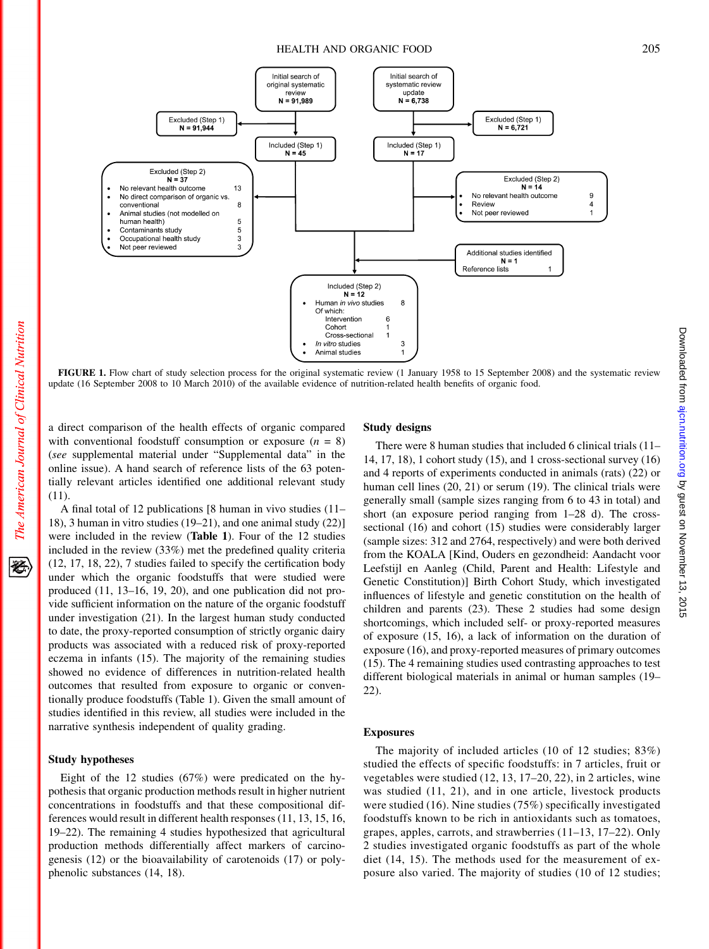# HEALTH AND ORGANIC FOOD 205

Downloaded from [ajcn.nutrition.org](http://ajcn.nutrition.org/) by guest on November 13, 2015

Downloaded from ajon.nutrition.org by guest on November 13, 2015



FIGURE 1. Flow chart of study selection process for the original systematic review (1 January 1958 to 15 September 2008) and the systematic review update (16 September 2008 to 10 March 2010) of the available evidence of nutrition-related health benefits of organic food.

a direct comparison of the health effects of organic compared with conventional foodstuff consumption or exposure  $(n = 8)$ (see supplemental material under "Supplemental data" in the online issue). A hand search of reference lists of the 63 potentially relevant articles identified one additional relevant study  $(11)$ .

A final total of 12 publications [8 human in vivo studies (11– 18), 3 human in vitro studies (19–21), and one animal study (22)] were included in the review (Table 1). Four of the 12 studies included in the review (33%) met the predefined quality criteria (12, 17, 18, 22), 7 studies failed to specify the certification body under which the organic foodstuffs that were studied were produced (11, 13–16, 19, 20), and one publication did not provide sufficient information on the nature of the organic foodstuff under investigation (21). In the largest human study conducted to date, the proxy-reported consumption of strictly organic dairy products was associated with a reduced risk of proxy-reported eczema in infants (15). The majority of the remaining studies showed no evidence of differences in nutrition-related health outcomes that resulted from exposure to organic or conventionally produce foodstuffs (Table 1). Given the small amount of studies identified in this review, all studies were included in the narrative synthesis independent of quality grading.

# Study hypotheses

Eight of the 12 studies (67%) were predicated on the hypothesis that organic production methods result in higher nutrient concentrations in foodstuffs and that these compositional differences would result in different health responses (11, 13, 15, 16, 19–22). The remaining 4 studies hypothesized that agricultural production methods differentially affect markers of carcinogenesis (12) or the bioavailability of carotenoids (17) or polyphenolic substances (14, 18).

## Study designs

There were 8 human studies that included 6 clinical trials (11– 14, 17, 18), 1 cohort study (15), and 1 cross-sectional survey (16) and 4 reports of experiments conducted in animals (rats) (22) or human cell lines (20, 21) or serum (19). The clinical trials were generally small (sample sizes ranging from 6 to 43 in total) and short (an exposure period ranging from 1–28 d). The crosssectional (16) and cohort (15) studies were considerably larger (sample sizes: 312 and 2764, respectively) and were both derived from the KOALA [Kind, Ouders en gezondheid: Aandacht voor Leefstijl en Aanleg (Child, Parent and Health: Lifestyle and Genetic Constitution)] Birth Cohort Study, which investigated influences of lifestyle and genetic constitution on the health of children and parents (23). These 2 studies had some design shortcomings, which included self- or proxy-reported measures of exposure (15, 16), a lack of information on the duration of exposure (16), and proxy-reported measures of primary outcomes (15). The 4 remaining studies used contrasting approaches to test different biological materials in animal or human samples (19– 22).

# Exposures

The majority of included articles (10 of 12 studies; 83%) studied the effects of specific foodstuffs: in 7 articles, fruit or vegetables were studied (12, 13, 17–20, 22), in 2 articles, wine was studied (11, 21), and in one article, livestock products were studied (16). Nine studies (75%) specifically investigated foodstuffs known to be rich in antioxidants such as tomatoes, grapes, apples, carrots, and strawberries (11–13, 17–22). Only 2 studies investigated organic foodstuffs as part of the whole diet (14, 15). The methods used for the measurement of exposure also varied. The majority of studies (10 of 12 studies;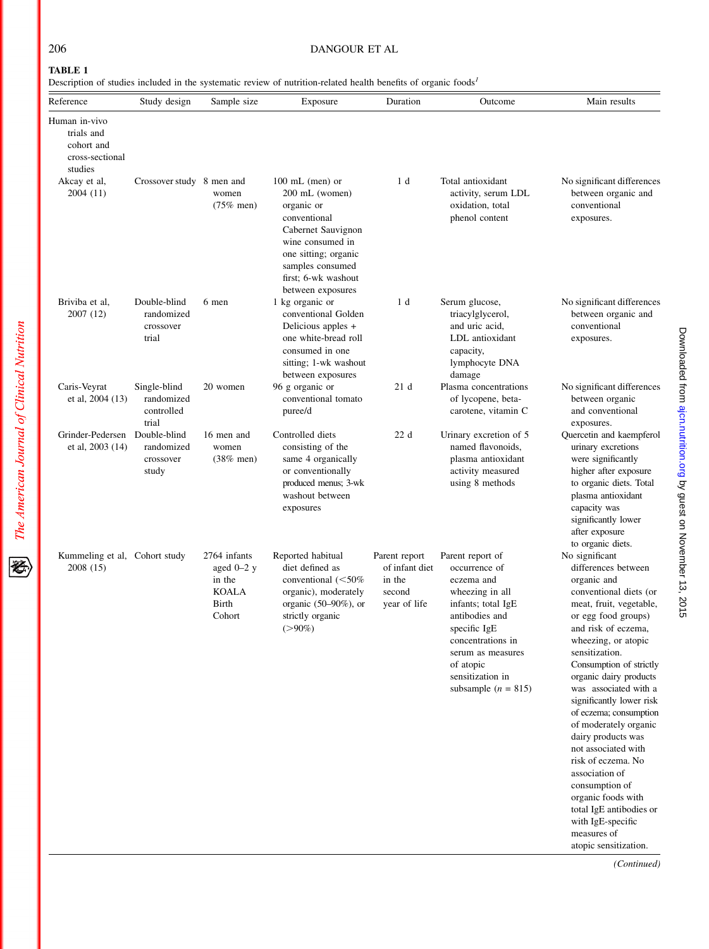# 206 DANGOUR ET AL

# TABLE 1

Description of studies included in the systematic review of nutrition-related health benefits of organic foods<sup>1</sup>

| Reference                                                               | Study design                                      | Sample size                                                               | Exposure                                                                                                                                                                                            | Duration                                                            | Outcome                                                                                                                                                                                                                          | Main results                                                                                                                                                                                                                                                                                                                                                                                                                                                                                                                                                                       |
|-------------------------------------------------------------------------|---------------------------------------------------|---------------------------------------------------------------------------|-----------------------------------------------------------------------------------------------------------------------------------------------------------------------------------------------------|---------------------------------------------------------------------|----------------------------------------------------------------------------------------------------------------------------------------------------------------------------------------------------------------------------------|------------------------------------------------------------------------------------------------------------------------------------------------------------------------------------------------------------------------------------------------------------------------------------------------------------------------------------------------------------------------------------------------------------------------------------------------------------------------------------------------------------------------------------------------------------------------------------|
| Human in-vivo<br>trials and<br>cohort and<br>cross-sectional<br>studies |                                                   |                                                                           |                                                                                                                                                                                                     |                                                                     |                                                                                                                                                                                                                                  |                                                                                                                                                                                                                                                                                                                                                                                                                                                                                                                                                                                    |
| Akcay et al,<br>2004 (11)                                               | Crossover study 8 men and                         | women<br>$(75\%$ men)                                                     | $100$ mL (men) or<br>200 mL (women)<br>organic or<br>conventional<br>Cabernet Sauvignon<br>wine consumed in<br>one sitting; organic<br>samples consumed<br>first; 6-wk washout<br>between exposures | 1 d                                                                 | Total antioxidant<br>activity, serum LDL<br>oxidation, total<br>phenol content                                                                                                                                                   | No significant differences<br>between organic and<br>conventional<br>exposures.                                                                                                                                                                                                                                                                                                                                                                                                                                                                                                    |
| Briviba et al,<br>2007 (12)                                             | Double-blind<br>randomized<br>crossover<br>trial  | 6 men                                                                     | 1 kg organic or<br>conventional Golden<br>Delicious apples +<br>one white-bread roll<br>consumed in one<br>sitting; 1-wk washout<br>between exposures                                               | 1 d                                                                 | Serum glucose,<br>triacylglycerol,<br>and uric acid,<br>LDL antioxidant<br>capacity,<br>lymphocyte DNA<br>damage                                                                                                                 | No significant differences<br>between organic and<br>conventional<br>exposures.                                                                                                                                                                                                                                                                                                                                                                                                                                                                                                    |
| Caris-Veyrat<br>et al, 2004 (13)                                        | Single-blind<br>randomized<br>controlled<br>trial | 20 women                                                                  | 96 g organic or<br>conventional tomato<br>puree/d                                                                                                                                                   | 21 d                                                                | Plasma concentrations<br>of lycopene, beta-<br>carotene, vitamin C                                                                                                                                                               | No significant differences<br>between organic<br>and conventional<br>exposures.                                                                                                                                                                                                                                                                                                                                                                                                                                                                                                    |
| Grinder-Pedersen<br>et al, 2003 (14)                                    | Double-blind<br>randomized<br>crossover<br>study  | 16 men and<br>women<br>$(38\%$ men)                                       | Controlled diets<br>consisting of the<br>same 4 organically<br>or conventionally<br>produced menus; 3-wk<br>washout between<br>exposures                                                            | 22d                                                                 | Urinary excretion of 5<br>named flavonoids,<br>plasma antioxidant<br>activity measured<br>using 8 methods                                                                                                                        | Quercetin and kaempferol<br>urinary excretions<br>were significantly<br>higher after exposure<br>to organic diets. Total<br>plasma antioxidant<br>capacity was<br>significantly lower<br>after exposure<br>to organic diets.                                                                                                                                                                                                                                                                                                                                                       |
| Kummeling et al, Cohort study<br>2008 (15)                              |                                                   | 2764 infants<br>aged $0-2$ y<br>in the<br><b>KOALA</b><br>Birth<br>Cohort | Reported habitual<br>diet defined as<br>conventional $(<50\%$<br>organic), moderately<br>organic $(50-90\%)$ , or<br>strictly organic<br>$(>90\%)$                                                  | Parent report<br>of infant diet<br>in the<br>second<br>year of life | Parent report of<br>occurrence of<br>eczema and<br>wheezing in all<br>infants; total IgE<br>antibodies and<br>specific IgE<br>concentrations in<br>serum as measures<br>of atopic<br>sensitization in<br>subsample ( $n = 815$ ) | No significant<br>differences between<br>organic and<br>conventional diets (or<br>meat, fruit, vegetable,<br>or egg food groups)<br>and risk of eczema,<br>wheezing, or atopic<br>sensitization.<br>Consumption of strictly<br>organic dairy products<br>was associated with a<br>significantly lower risk<br>of eczema; consumption<br>of moderately organic<br>dairy products was<br>not associated with<br>risk of eczema. No<br>association of<br>consumption of<br>organic foods with<br>total IgE antibodies or<br>with IgE-specific<br>measures of<br>atopic sensitization. |

(Continued)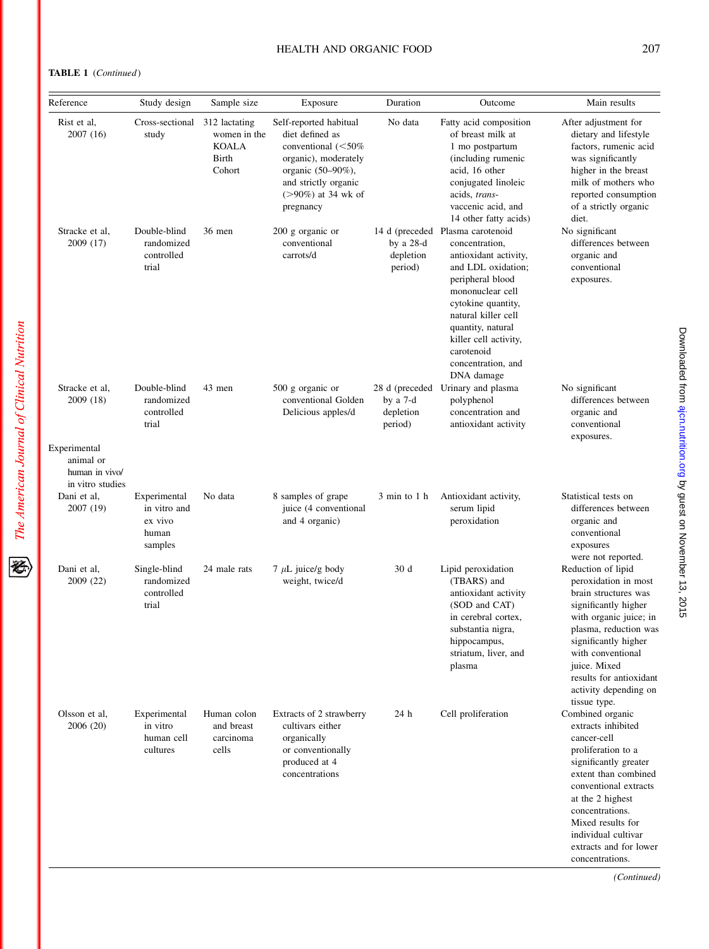# TABLE 1 (Continued)

The American Journal of Clinical Nutrition

逐

| Reference                                                       | Study design                                                | Sample size                                               | Exposure                                                                                                                                                                      | Duration                                           | Outcome                                                                                                                                                                                                                                                                                | Main results                                                                                                                                                                                                                                                                                          |
|-----------------------------------------------------------------|-------------------------------------------------------------|-----------------------------------------------------------|-------------------------------------------------------------------------------------------------------------------------------------------------------------------------------|----------------------------------------------------|----------------------------------------------------------------------------------------------------------------------------------------------------------------------------------------------------------------------------------------------------------------------------------------|-------------------------------------------------------------------------------------------------------------------------------------------------------------------------------------------------------------------------------------------------------------------------------------------------------|
| Rist et al.<br>2007 (16)                                        | Cross-sectional<br>study                                    | 312 lactating<br>women in the<br>KOALA<br>Birth<br>Cohort | Self-reported habitual<br>diet defined as<br>conventional $(<50\%$<br>organic), moderately<br>organic (50-90%),<br>and strictly organic<br>$(>90\%)$ at 34 wk of<br>pregnancy | No data                                            | Fatty acid composition<br>of breast milk at<br>1 mo postpartum<br>(including rumenic<br>acid, 16 other<br>conjugated linoleic<br>acids, trans-<br>vaccenic acid, and<br>14 other fatty acids)                                                                                          | After adjustment for<br>dietary and lifestyle<br>factors, rumenic acid<br>was significantly<br>higher in the breast<br>milk of mothers who<br>reported consumption<br>of a strictly organic<br>diet.                                                                                                  |
| Stracke et al,<br>2009 (17)                                     | Double-blind<br>randomized<br>controlled<br>trial           | 36 men                                                    | 200 g organic or<br>conventional<br>carrots/d                                                                                                                                 | by a $28-d$<br>depletion<br>period)                | 14 d (preceded Plasma carotenoid<br>concentration,<br>antioxidant activity,<br>and LDL oxidation;<br>peripheral blood<br>mononuclear cell<br>cytokine quantity,<br>natural killer cell<br>quantity, natural<br>killer cell activity,<br>carotenoid<br>concentration, and<br>DNA damage | No significant<br>differences between<br>organic and<br>conventional<br>exposures.                                                                                                                                                                                                                    |
| Stracke et al.<br>2009 (18)                                     | Double-blind<br>randomized<br>controlled<br>trial           | 43 men                                                    | 500 g organic or<br>conventional Golden<br>Delicious apples/d                                                                                                                 | 28 d (preceded<br>by a 7-d<br>depletion<br>period) | Urinary and plasma<br>polyphenol<br>concentration and<br>antioxidant activity                                                                                                                                                                                                          | No significant<br>differences between<br>organic and<br>conventional<br>exposures.                                                                                                                                                                                                                    |
| Experimental<br>animal or<br>human in vivo/<br>in vitro studies |                                                             |                                                           |                                                                                                                                                                               |                                                    |                                                                                                                                                                                                                                                                                        |                                                                                                                                                                                                                                                                                                       |
| Dani et al,<br>2007 (19)                                        | Experimental<br>in vitro and<br>ex vivo<br>human<br>samples | No data                                                   | 8 samples of grape<br>juice (4 conventional<br>and 4 organic)                                                                                                                 | 3 min to 1 h                                       | Antioxidant activity,<br>serum lipid<br>peroxidation                                                                                                                                                                                                                                   | Statistical tests on<br>differences between<br>organic and<br>conventional<br>exposures<br>were not reported.                                                                                                                                                                                         |
| Dani et al,<br>2009 (22)                                        | Single-blind<br>randomized<br>controlled<br>trial           | 24 male rats                                              | $7 \mu L$ juice/g body<br>weight, twice/d                                                                                                                                     | 30 d                                               | Lipid peroxidation<br>(TBARS) and<br>antioxidant activity<br>(SOD and CAT)<br>in cerebral cortex,<br>substantia nigra,<br>hippocampus,<br>striatum, liver, and<br>plasma                                                                                                               | Reduction of lipid<br>peroxidation in most<br>brain structures was<br>significantly higher<br>with organic juice; in<br>plasma, reduction was<br>significantly higher<br>with conventional<br>juice. Mixed<br>results for antioxidant<br>activity depending on                                        |
| Olsson et al,<br>2006 (20)                                      | Experimental<br>in vitro<br>human cell<br>cultures          | Human colon<br>and breast<br>carcinoma<br>cells           | Extracts of 2 strawberry<br>cultivars either<br>organically<br>or conventionally<br>produced at 4<br>concentrations                                                           | 24 h                                               | Cell proliferation                                                                                                                                                                                                                                                                     | tissue type.<br>Combined organic<br>extracts inhibited<br>cancer-cell<br>proliferation to a<br>significantly greater<br>extent than combined<br>conventional extracts<br>at the 2 highest<br>concentrations.<br>Mixed results for<br>individual cultivar<br>extracts and for lower<br>concentrations. |

(Continued)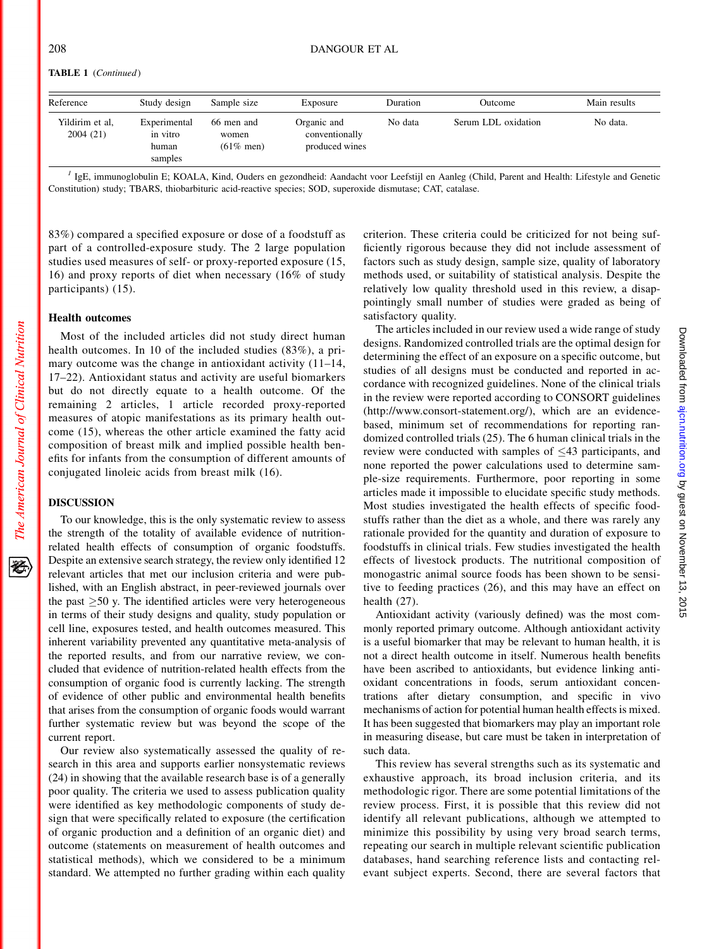| Reference                   | Study design                                 | Sample size                         | Exposure                                        | Duration | Outcome             | Main results |
|-----------------------------|----------------------------------------------|-------------------------------------|-------------------------------------------------|----------|---------------------|--------------|
| Yildirim et al.<br>2004(21) | Experimental<br>in vitro<br>human<br>samples | 66 men and<br>women<br>$(61\%$ men) | Organic and<br>conventionally<br>produced wines | No data  | Serum LDL oxidation | No data.     |

<sup>1</sup> IgE, immunoglobulin E; KOALA, Kind, Ouders en gezondheid: Aandacht voor Leefstijl en Aanleg (Child, Parent and Health: Lifestyle and Genetic Constitution) study; TBARS, thiobarbituric acid-reactive species; SOD, superoxide dismutase; CAT, catalase.

83%) compared a specified exposure or dose of a foodstuff as part of a controlled-exposure study. The 2 large population studies used measures of self- or proxy-reported exposure (15, 16) and proxy reports of diet when necessary (16% of study participants) (15).

# Health outcomes

Most of the included articles did not study direct human health outcomes. In 10 of the included studies (83%), a primary outcome was the change in antioxidant activity  $(11-14,$ 17–22). Antioxidant status and activity are useful biomarkers but do not directly equate to a health outcome. Of the remaining 2 articles, 1 article recorded proxy-reported measures of atopic manifestations as its primary health outcome (15), whereas the other article examined the fatty acid composition of breast milk and implied possible health benefits for infants from the consumption of different amounts of conjugated linoleic acids from breast milk (16).

# DISCUSSION

The American Journal of Clinical Nutrition

经

To our knowledge, this is the only systematic review to assess the strength of the totality of available evidence of nutritionrelated health effects of consumption of organic foodstuffs. Despite an extensive search strategy, the review only identified 12 relevant articles that met our inclusion criteria and were published, with an English abstract, in peer-reviewed journals over the past  $\geq 50$  y. The identified articles were very heterogeneous in terms of their study designs and quality, study population or cell line, exposures tested, and health outcomes measured. This inherent variability prevented any quantitative meta-analysis of the reported results, and from our narrative review, we concluded that evidence of nutrition-related health effects from the consumption of organic food is currently lacking. The strength of evidence of other public and environmental health benefits that arises from the consumption of organic foods would warrant further systematic review but was beyond the scope of the current report.

Our review also systematically assessed the quality of research in this area and supports earlier nonsystematic reviews (24) in showing that the available research base is of a generally poor quality. The criteria we used to assess publication quality were identified as key methodologic components of study design that were specifically related to exposure (the certification of organic production and a definition of an organic diet) and outcome (statements on measurement of health outcomes and statistical methods), which we considered to be a minimum standard. We attempted no further grading within each quality

criterion. These criteria could be criticized for not being sufficiently rigorous because they did not include assessment of factors such as study design, sample size, quality of laboratory methods used, or suitability of statistical analysis. Despite the relatively low quality threshold used in this review, a disappointingly small number of studies were graded as being of satisfactory quality.

The articles included in our review used a wide range of study designs. Randomized controlled trials are the optimal design for determining the effect of an exposure on a specific outcome, but studies of all designs must be conducted and reported in accordance with recognized guidelines. None of the clinical trials in the review were reported according to CONSORT guidelines (http://www.consort-statement.org/), which are an evidencebased, minimum set of recommendations for reporting randomized controlled trials (25). The 6 human clinical trials in the review were conducted with samples of  $\leq 43$  participants, and none reported the power calculations used to determine sample-size requirements. Furthermore, poor reporting in some articles made it impossible to elucidate specific study methods. Most studies investigated the health effects of specific foodstuffs rather than the diet as a whole, and there was rarely any rationale provided for the quantity and duration of exposure to foodstuffs in clinical trials. Few studies investigated the health effects of livestock products. The nutritional composition of monogastric animal source foods has been shown to be sensitive to feeding practices (26), and this may have an effect on health (27).

Antioxidant activity (variously defined) was the most commonly reported primary outcome. Although antioxidant activity is a useful biomarker that may be relevant to human health, it is not a direct health outcome in itself. Numerous health benefits have been ascribed to antioxidants, but evidence linking antioxidant concentrations in foods, serum antioxidant concentrations after dietary consumption, and specific in vivo mechanisms of action for potential human health effects is mixed. It has been suggested that biomarkers may play an important role in measuring disease, but care must be taken in interpretation of such data.

This review has several strengths such as its systematic and exhaustive approach, its broad inclusion criteria, and its methodologic rigor. There are some potential limitations of the review process. First, it is possible that this review did not identify all relevant publications, although we attempted to minimize this possibility by using very broad search terms, repeating our search in multiple relevant scientific publication databases, hand searching reference lists and contacting relevant subject experts. Second, there are several factors that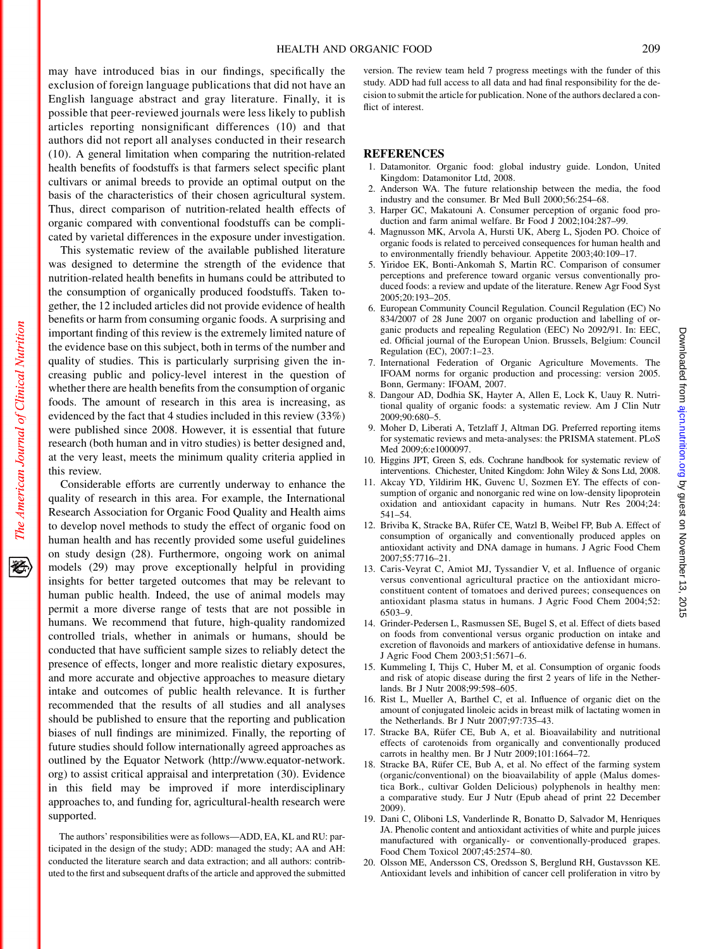may have introduced bias in our findings, specifically the exclusion of foreign language publications that did not have an English language abstract and gray literature. Finally, it is possible that peer-reviewed journals were less likely to publish articles reporting nonsignificant differences (10) and that authors did not report all analyses conducted in their research (10). A general limitation when comparing the nutrition-related health benefits of foodstuffs is that farmers select specific plant cultivars or animal breeds to provide an optimal output on the basis of the characteristics of their chosen agricultural system. Thus, direct comparison of nutrition-related health effects of organic compared with conventional foodstuffs can be complicated by varietal differences in the exposure under investigation.

This systematic review of the available published literature was designed to determine the strength of the evidence that nutrition-related health benefits in humans could be attributed to the consumption of organically produced foodstuffs. Taken together, the 12 included articles did not provide evidence of health benefits or harm from consuming organic foods. A surprising and important finding of this review is the extremely limited nature of the evidence base on this subject, both in terms of the number and quality of studies. This is particularly surprising given the increasing public and policy-level interest in the question of whether there are health benefits from the consumption of organic foods. The amount of research in this area is increasing, as evidenced by the fact that 4 studies included in this review (33%) were published since 2008. However, it is essential that future research (both human and in vitro studies) is better designed and, at the very least, meets the minimum quality criteria applied in this review.

The American Journal of Clinical Nutrition

移

Considerable efforts are currently underway to enhance the quality of research in this area. For example, the International Research Association for Organic Food Quality and Health aims to develop novel methods to study the effect of organic food on human health and has recently provided some useful guidelines on study design (28). Furthermore, ongoing work on animal models (29) may prove exceptionally helpful in providing insights for better targeted outcomes that may be relevant to human public health. Indeed, the use of animal models may permit a more diverse range of tests that are not possible in humans. We recommend that future, high-quality randomized controlled trials, whether in animals or humans, should be conducted that have sufficient sample sizes to reliably detect the presence of effects, longer and more realistic dietary exposures, and more accurate and objective approaches to measure dietary intake and outcomes of public health relevance. It is further recommended that the results of all studies and all analyses should be published to ensure that the reporting and publication biases of null findings are minimized. Finally, the reporting of future studies should follow internationally agreed approaches as outlined by the Equator Network (http://www.equator-network. org) to assist critical appraisal and interpretation (30). Evidence in this field may be improved if more interdisciplinary approaches to, and funding for, agricultural-health research were supported.

The authors' responsibilities were as follows—ADD, EA, KL and RU: participated in the design of the study; ADD: managed the study; AA and AH: conducted the literature search and data extraction; and all authors: contributed to the first and subsequent drafts of the article and approved the submitted version. The review team held 7 progress meetings with the funder of this study. ADD had full access to all data and had final responsibility for the decision to submit the article for publication. None of the authors declared a conflict of interest.

#### REFERENCES

- 1. Datamonitor. Organic food: global industry guide. London, United Kingdom: Datamonitor Ltd, 2008.
- 2. Anderson WA. The future relationship between the media, the food industry and the consumer. Br Med Bull 2000;56:254–68.
- 3. Harper GC, Makatouni A. Consumer perception of organic food production and farm animal welfare. Br Food J 2002;104:287–99.
- 4. Magnusson MK, Arvola A, Hursti UK, Aberg L, Sjoden PO. Choice of organic foods is related to perceived consequences for human health and to environmentally friendly behaviour. Appetite 2003;40:109–17.
- 5. Yiridoe EK, Bonti-Ankomah S, Martin RC. Comparison of consumer perceptions and preference toward organic versus conventionally produced foods: a review and update of the literature. Renew Agr Food Syst 2005;20:193–205.
- 6. European Community Council Regulation. Council Regulation (EC) No 834/2007 of 28 June 2007 on organic production and labelling of organic products and repealing Regulation (EEC) No 2092/91. In: EEC, ed. Official journal of the European Union. Brussels, Belgium: Council Regulation (EC), 2007:1–23.
- 7. International Federation of Organic Agriculture Movements. The IFOAM norms for organic production and processing: version 2005. Bonn, Germany: IFOAM, 2007.
- 8. Dangour AD, Dodhia SK, Hayter A, Allen E, Lock K, Uauy R. Nutritional quality of organic foods: a systematic review. Am J Clin Nutr 2009;90:680–5.
- 9. Moher D, Liberati A, Tetzlaff J, Altman DG. Preferred reporting items for systematic reviews and meta-analyses: the PRISMA statement. PLoS Med 2009;6:e1000097.
- 10. Higgins JPT, Green S, eds. Cochrane handbook for systematic review of interventions. Chichester, United Kingdom: John Wiley & Sons Ltd, 2008.
- 11. Akcay YD, Yildirim HK, Guvenc U, Sozmen EY. The effects of consumption of organic and nonorganic red wine on low-density lipoprotein oxidation and antioxidant capacity in humans. Nutr Res 2004;24: 541–54.
- 12. Briviba K, Stracke BA, Rüfer CE, Watzl B, Weibel FP, Bub A. Effect of consumption of organically and conventionally produced apples on antioxidant activity and DNA damage in humans. J Agric Food Chem 2007;55:7716–21.
- 13. Caris-Veyrat C, Amiot MJ, Tyssandier V, et al. Influence of organic versus conventional agricultural practice on the antioxidant microconstituent content of tomatoes and derived purees; consequences on antioxidant plasma status in humans. J Agric Food Chem 2004;52: 6503–9.
- 14. Grinder-Pedersen L, Rasmussen SE, Bugel S, et al. Effect of diets based on foods from conventional versus organic production on intake and excretion of flavonoids and markers of antioxidative defense in humans. J Agric Food Chem 2003;51:5671–6.
- 15. Kummeling I, Thijs C, Huber M, et al. Consumption of organic foods and risk of atopic disease during the first 2 years of life in the Netherlands. Br J Nutr 2008;99:598–605.
- 16. Rist L, Mueller A, Barthel C, et al. Influence of organic diet on the amount of conjugated linoleic acids in breast milk of lactating women in the Netherlands. Br J Nutr 2007;97:735–43.
- 17. Stracke BA, Rüfer CE, Bub A, et al. Bioavailability and nutritional effects of carotenoids from organically and conventionally produced carrots in healthy men. Br J Nutr 2009;101:1664–72.
- 18. Stracke BA, Rüfer CE, Bub A, et al. No effect of the farming system (organic/conventional) on the bioavailability of apple (Malus domestica Bork., cultivar Golden Delicious) polyphenols in healthy men: a comparative study. Eur J Nutr (Epub ahead of print 22 December 2009).
- 19. Dani C, Oliboni LS, Vanderlinde R, Bonatto D, Salvador M, Henriques JA. Phenolic content and antioxidant activities of white and purple juices manufactured with organically- or conventionally-produced grapes. Food Chem Toxicol 2007;45:2574–80.
- 20. Olsson ME, Andersson CS, Oredsson S, Berglund RH, Gustavsson KE. Antioxidant levels and inhibition of cancer cell proliferation in vitro by